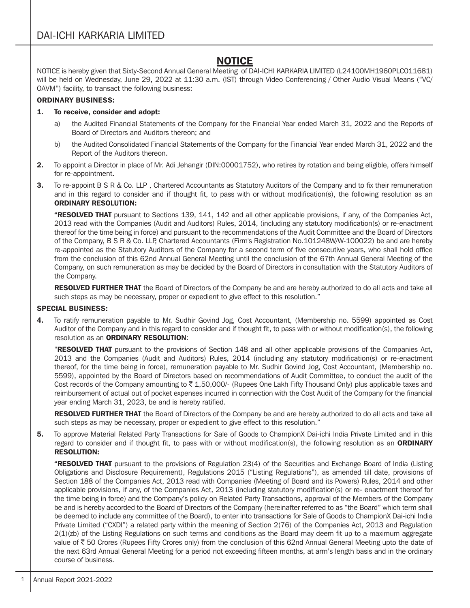## NOTICE

NOTICE is hereby given that Sixty-Second Annual General Meeting of DAI-ICHI KARKARIA LIMITED (L24100MH1960PLC011681) will be held on Wednesday, June 29, 2022 at 11:30 a.m. (IST) through Video Conferencing / Other Audio Visual Means ("VC/ OAVM") facility, to transact the following business:

### ORDINARY BUSINESS:

#### 1. To receive, consider and adopt:

- a) the Audited Financial Statements of the Company for the Financial Year ended March 31, 2022 and the Reports of Board of Directors and Auditors thereon; and
- b) the Audited Consolidated Financial Statements of the Company for the Financial Year ended March 31, 2022 and the Report of the Auditors thereon.
- 2. To appoint a Director in place of Mr. Adi Jehangir (DIN:00001752), who retires by rotation and being eligible, offers himself for re-appointment.
- 3. To re-appoint B S R & Co. LLP , Chartered Accountants as Statutory Auditors of the Company and to fix their remuneration and in this regard to consider and if thought fit, to pass with or without modification(s), the following resolution as an ORDINARY RESOLUTION:

"RESOLVED THAT pursuant to Sections 139, 141, 142 and all other applicable provisions, if any, of the Companies Act, 2013 read with the Companies (Audit and Auditors) Rules, 2014, (including any statutory modification(s) or re-enactment thereof for the time being in force) and pursuant to the recommendations of the Audit Committee and the Board of Directors of the Company, B S R & Co. LLP, Chartered Accountants (Firm's Registration No.101248W/W-100022) be and are hereby re-appointed as the Statutory Auditors of the Company for a second term of five consecutive years, who shall hold office from the conclusion of this 62nd Annual General Meeting until the conclusion of the 67th Annual General Meeting of the Company, on such remuneration as may be decided by the Board of Directors in consultation with the Statutory Auditors of the Company.

RESOLVED FURTHER THAT the Board of Directors of the Company be and are hereby authorized to do all acts and take all such steps as may be necessary, proper or expedient to give effect to this resolution."

#### SPECIAL BUSINESS:

4. To ratify remuneration payable to Mr. Sudhir Govind Jog, Cost Accountant, (Membership no. 5599) appointed as Cost Auditor of the Company and in this regard to consider and if thought fit, to pass with or without modification(s), the following resolution as an **ORDINARY RESOLUTION:** 

"RESOLVED THAT pursuant to the provisions of Section 148 and all other applicable provisions of the Companies Act, 2013 and the Companies (Audit and Auditors) Rules, 2014 (including any statutory modification(s) or re-enactment thereof, for the time being in force), remuneration payable to Mr. Sudhir Govind Jog, Cost Accountant, (Membership no. 5599), appointed by the Board of Directors based on recommendations of Audit Committee, to conduct the audit of the Cost records of the Company amounting to  $\bar{z}$  1,50,000/- (Rupees One Lakh Fifty Thousand Only) plus applicable taxes and reimbursement of actual out of pocket expenses incurred in connection with the Cost Audit of the Company for the financial year ending March 31, 2023, be and is hereby ratified.

RESOLVED FURTHER THAT the Board of Directors of the Company be and are hereby authorized to do all acts and take all such steps as may be necessary, proper or expedient to give effect to this resolution."

5. To approve Material Related Party Transactions for Sale of Goods to ChampionX Dai-ichi India Private Limited and in this regard to consider and if thought fit, to pass with or without modification(s), the following resolution as an ORDINARY RESOLUTION:

"RESOLVED THAT pursuant to the provisions of Regulation 23(4) of the Securities and Exchange Board of India (Listing Obligations and Disclosure Requirement), Regulations 2015 ("Listing Regulations"), as amended till date, provisions of Section 188 of the Companies Act, 2013 read with Companies (Meeting of Board and its Powers) Rules, 2014 and other applicable provisions, if any, of the Companies Act, 2013 (including statutory modification(s) or re- enactment thereof for the time being in force) and the Company's policy on Related Party Transactions, approval of the Members of the Company be and is hereby accorded to the Board of Directors of the Company (hereinafter referred to as "the Board" which term shall be deemed to include any committee of the Board), to enter into transactions for Sale of Goods to ChampionX Dai-ichi India Private Limited ("CXDI") a related party within the meaning of Section 2(76) of the Companies Act, 2013 and Regulation 2(1)(zb) of the Listing Regulations on such terms and conditions as the Board may deem fit up to a maximum aggregate value of  $\bar{\tau}$  50 Crores (Rupees Fifty Crores only) from the conclusion of this 62nd Annual General Meeting upto the date of the next 63rd Annual General Meeting for a period not exceeding fifteen months, at arm's length basis and in the ordinary course of business.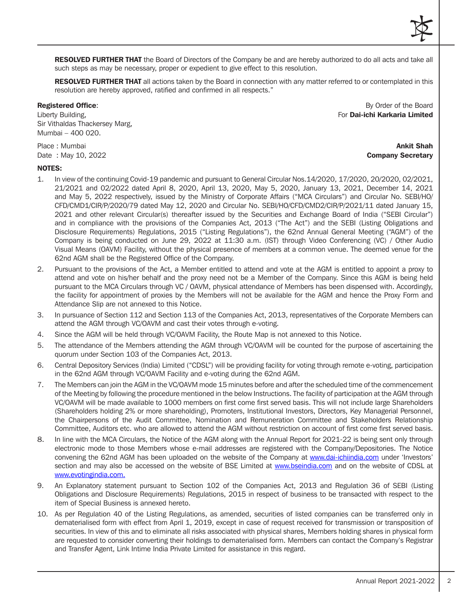RESOLVED FURTHER THAT the Board of Directors of the Company be and are hereby authorized to do all acts and take all such steps as may be necessary, proper or expedient to give effect to this resolution.

RESOLVED FURTHER THAT all actions taken by the Board in connection with any matter referred to or contemplated in this resolution are hereby approved, ratified and confirmed in all respects."

Sir Vithaldas Thackersey Marg, Mumbai – 400 020.

Registered Office: **By Order of the Board** By Order of the Board Liberty Building, **Exercise 2.1 Contract Contract Contract Contract Contract Contract Contract Contract Contract Contract Contract Contract Contract Contract Contract Contract Contract Contract Contract Contract Contract C** 

Place : Mumbai **Ankit Shah** Ankit Shah Ankit Shah Ankit Shah Ankit Shah Ankit Shah Ankit Shah Ankit Shah Ankit Sh

# Date : May 10, 2022 **Company Secretary**

#### NOTES:

- 1. In view of the continuing Covid-19 pandemic and pursuant to General Circular Nos.14/2020, 17/2020, 20/2020, 02/2021, 21/2021 and 02/2022 dated April 8, 2020, April 13, 2020, May 5, 2020, January 13, 2021, December 14, 2021 and May 5, 2022 respectively, issued by the Ministry of Corporate Affairs ("MCA Circulars") and Circular No. SEBI/HO/ CFD/CMD1/CIR/P/2020/79 dated May 12, 2020 and Circular No. SEBI/HO/CFD/CMD2/CIR/P/2021/11 dated January 15, 2021 and other relevant Circular(s) thereafter issued by the Securities and Exchange Board of India ("SEBI Circular") and in compliance with the provisions of the Companies Act, 2013 ("The Act") and the SEBI (Listing Obligations and Disclosure Requirements) Regulations, 2015 ("Listing Regulations"), the 62nd Annual General Meeting ("AGM") of the Company is being conducted on June 29, 2022 at 11:30 a.m. (IST) through Video Conferencing (VC) / Other Audio Visual Means (OAVM) Facility, without the physical presence of members at a common venue. The deemed venue for the 62nd AGM shall be the Registered Office of the Company.
- 2. Pursuant to the provisions of the Act, a Member entitled to attend and vote at the AGM is entitled to appoint a proxy to attend and vote on his/her behalf and the proxy need not be a Member of the Company. Since this AGM is being held pursuant to the MCA Circulars through VC / OAVM, physical attendance of Members has been dispensed with. Accordingly, the facility for appointment of proxies by the Members will not be available for the AGM and hence the Proxy Form and Attendance Slip are not annexed to this Notice.
- 3. In pursuance of Section 112 and Section 113 of the Companies Act, 2013, representatives of the Corporate Members can attend the AGM through VC/OAVM and cast their votes through e-voting.
- 4. Since the AGM will be held through VC/OAVM Facility, the Route Map is not annexed to this Notice.
- 5. The attendance of the Members attending the AGM through VC/OAVM will be counted for the purpose of ascertaining the quorum under Section 103 of the Companies Act, 2013.
- 6. Central Depository Services (India) Limited ("CDSL") will be providing facility for voting through remote e-voting, participation in the 62nd AGM through VC/OAVM Facility and e-voting during the 62nd AGM.
- 7. The Members can join the AGM in the VC/OAVM mode 15 minutes before and after the scheduled time of the commencement of the Meeting by following the procedure mentioned in the below Instructions. The facility of participation at the AGM through VC/OAVM will be made available to 1000 members on first come first served basis. This will not include large Shareholders (Shareholders holding 2% or more shareholding), Promoters, Institutional Investors, Directors, Key Managerial Personnel, the Chairpersons of the Audit Committee, Nomination and Remuneration Committee and Stakeholders Relationship Committee, Auditors etc. who are allowed to attend the AGM without restriction on account of first come first served basis.
- 8. In line with the MCA Circulars, the Notice of the AGM along with the Annual Report for 2021-22 is being sent only through electronic mode to those Members whose e-mail addresses are registered with the Company/Depositories. The Notice convening the 62nd AGM has been uploaded on the website of the Company at www.dai-ichiindia.com under 'Investors' section and may also be accessed on the website of BSE Limited at www.bseindia.com and on the website of CDSL at www.evotingindia.com.
- 9. An Explanatory statement pursuant to Section 102 of the Companies Act, 2013 and Regulation 36 of SEBI (Listing Obligations and Disclosure Requirements) Regulations, 2015 in respect of business to be transacted with respect to the item of Special Business is annexed hereto.
- 10. As per Regulation 40 of the Listing Regulations, as amended, securities of listed companies can be transferred only in dematerialised form with effect from April 1, 2019, except in case of request received for transmission or transposition of securities. In view of this and to eliminate all risks associated with physical shares, Members holding shares in physical form are requested to consider converting their holdings to dematerialised form. Members can contact the Company's Registrar and Transfer Agent, Link Intime India Private Limited for assistance in this regard.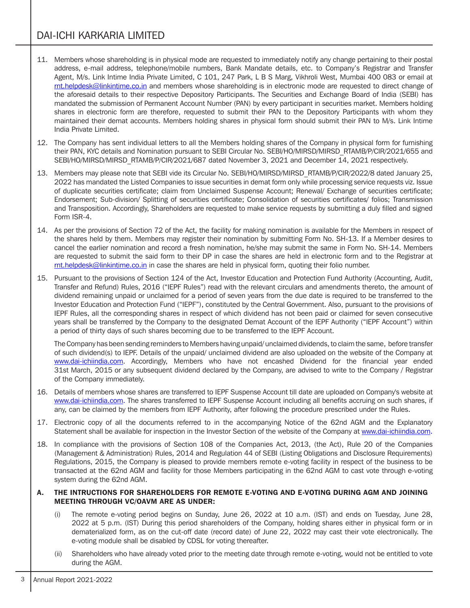- 11. Members whose shareholding is in physical mode are requested to immediately notify any change pertaining to their postal address, e-mail address, telephone/mobile numbers, Bank Mandate details, etc. to Company's Registrar and Transfer Agent, M/s. Link Intime India Private Limited, C 101, 247 Park, L B S Marg, Vikhroli West, Mumbai 400 083 or email at rnt.helpdesk@linkintime.co.in and members whose shareholding is in electronic mode are requested to direct change of the aforesaid details to their respective Depository Participants. The Securities and Exchange Board of India (SEBI) has mandated the submission of Permanent Account Number (PAN) by every participant in securities market. Members holding shares in electronic form are therefore, requested to submit their PAN to the Depository Participants with whom they maintained their demat accounts. Members holding shares in physical form should submit their PAN to M/s. Link Intime India Private Limited.
- 12. The Company has sent individual letters to all the Members holding shares of the Company in physical form for furnishing their PAN, KYC details and Nomination pursuant to SEBI Circular No. SEBI/HO/MIRSD/MIRSD\_RTAMB/P/CIR/2021/655 and SEBI/HO/MIRSD/MIRSD\_RTAMB/P/CIR/2021/687 dated November 3, 2021 and December 14, 2021 respectively.
- 13. Members may please note that SEBI vide its Circular No. SEBI/HO/MIRSD/MIRSD\_RTAMB/P/CIR/2022/8 dated January 25, 2022 has mandated the Listed Companies to issue securities in demat form only while processing service requests viz. Issue of duplicate securities certificate; claim from Unclaimed Suspense Account; Renewal/ Exchange of securities certificate; Endorsement; Sub-division/ Splitting of securities certificate; Consolidation of securities certificates/ folios; Transmission and Transposition. Accordingly, Shareholders are requested to make service requests by submitting a duly filled and signed Form ISR-4.
- 14. As per the provisions of Section 72 of the Act, the facility for making nomination is available for the Members in respect of the shares held by them. Members may register their nomination by submitting Form No. SH-13. If a Member desires to cancel the earlier nomination and record a fresh nomination, he/she may submit the same in Form No. SH-14. Members are requested to submit the said form to their DP in case the shares are held in electronic form and to the Registrar at rnt.helpdesk@linkintime.co.in in case the shares are held in physical form, quoting their folio number.
- 15. Pursuant to the provisions of Section 124 of the Act, Investor Education and Protection Fund Authority (Accounting, Audit, Transfer and Refund) Rules, 2016 ("IEPF Rules") read with the relevant circulars and amendments thereto, the amount of dividend remaining unpaid or unclaimed for a period of seven years from the due date is required to be transferred to the Investor Education and Protection Fund ("IEPF"), constituted by the Central Government. Also, pursuant to the provisions of IEPF Rules, all the corresponding shares in respect of which dividend has not been paid or claimed for seven consecutive years shall be transferred by the Company to the designated Demat Account of the IEPF Authority ("IEPF Account") within a period of thirty days of such shares becoming due to be transferred to the IEPF Account.

The Company has been sending reminders to Members having unpaid/ unclaimed dividends, to claim the same, before transfer of such dividend(s) to IEPF. Details of the unpaid/ unclaimed dividend are also uploaded on the website of the Company at www.dai-ichiindia.com. Accordingly, Members who have not encashed Dividend for the financial year ended 31st March, 2015 or any subsequent dividend declared by the Company, are advised to write to the Company / Registrar of the Company immediately.

- 16. Details of members whose shares are transferred to IEPF Suspense Account till date are uploaded on Company's website at www.dai-ichiindia.com. The shares transferred to IEPF Suspense Account including all benefits accruing on such shares, if any, can be claimed by the members from IEPF Authority, after following the procedure prescribed under the Rules.
- 17. Electronic copy of all the documents referred to in the accompanying Notice of the 62nd AGM and the Explanatory Statement shall be available for inspection in the Investor Section of the website of the Company at www.dai-ichiindia.com.
- 18. In compliance with the provisions of Section 108 of the Companies Act, 2013, (the Act), Rule 20 of the Companies (Management & Administration) Rules, 2014 and Regulation 44 of SEBI (Listing Obligations and Disclosure Requirements) Regulations, 2015, the Company is pleased to provide members remote e-voting facility in respect of the business to be transacted at the 62nd AGM and facility for those Members participating in the 62nd AGM to cast vote through e-voting system during the 62nd AGM.

#### A. THE INTRUCTIONS FOR SHAREHOLDERS FOR REMOTE E-VOTING AND E-VOTING DURING AGM AND JOINING MEETING THROUGH VC/OAVM ARE AS UNDER:

- The remote e-voting period begins on Sunday, June 26, 2022 at 10 a.m. (IST) and ends on Tuesday, June 28, 2022 at 5 p.m. (IST) During this period shareholders of the Company, holding shares either in physical form or in dematerialized form, as on the cut-off date (record date) of June 22, 2022 may cast their vote electronically. The e-voting module shall be disabled by CDSL for voting thereafter.
- (ii) Shareholders who have already voted prior to the meeting date through remote e-voting, would not be entitled to vote during the AGM.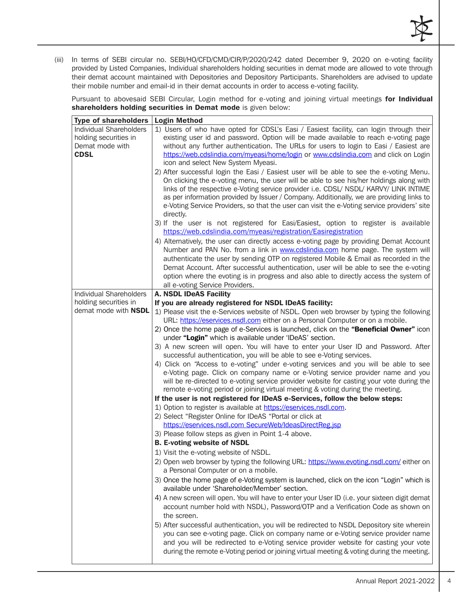(iii) In terms of SEBI circular no. SEBI/HO/CFD/CMD/CIR/P/2020/242 dated December 9, 2020 on e-voting facility provided by Listed Companies, Individual shareholders holding securities in demat mode are allowed to vote through their demat account maintained with Depositories and Depository Participants. Shareholders are advised to update their mobile number and email-id in their demat accounts in order to access e-voting facility.

Pursuant to abovesaid SEBI Circular, Login method for e-voting and joining virtual meetings for Individual shareholders holding securities in Demat mode is given below:

| <b>Type of shareholders</b>                                                        | <b>Login Method</b>                                                                                                                                                                                                                                                                                                                                                                                                                                                                     |  |
|------------------------------------------------------------------------------------|-----------------------------------------------------------------------------------------------------------------------------------------------------------------------------------------------------------------------------------------------------------------------------------------------------------------------------------------------------------------------------------------------------------------------------------------------------------------------------------------|--|
| Individual Shareholders<br>holding securities in<br>Demat mode with<br><b>CDSL</b> | 1) Users of who have opted for CDSL's Easi / Easiest facility, can login through their<br>existing user id and password. Option will be made available to reach e-voting page<br>without any further authentication. The URLs for users to login to Easi / Easiest are<br>https://web.cdslindia.com/myeasi/home/login or www.cdslindia.com and click on Login<br>icon and select New System Myeasi.                                                                                     |  |
|                                                                                    | 2) After successful login the Easi / Easiest user will be able to see the e-voting Menu.<br>On clicking the e-voting menu, the user will be able to see his/her holdings along with<br>links of the respective e-Voting service provider i.e. CDSL/ NSDL/ KARVY/ LINK INTIME<br>as per information provided by Issuer / Company. Additionally, we are providing links to<br>e-Voting Service Providers, so that the user can visit the e-Voting service providers' site<br>directly.    |  |
|                                                                                    | 3) If the user is not registered for Easi/Easiest, option to register is available<br>https://web.cdslindia.com/myeasi/registration/Easiregistration                                                                                                                                                                                                                                                                                                                                    |  |
|                                                                                    | 4) Alternatively, the user can directly access e-voting page by providing Demat Account<br>Number and PAN No. from a link in www.cdslindia.com home page. The system will<br>authenticate the user by sending OTP on registered Mobile & Email as recorded in the<br>Demat Account. After successful authentication, user will be able to see the e-voting<br>option where the evoting is in progress and also able to directly access the system of<br>all e-voting Service Providers. |  |
| Individual Shareholders                                                            | <b>A. NSDL IDeAS Facility</b>                                                                                                                                                                                                                                                                                                                                                                                                                                                           |  |
| holding securities in                                                              | If you are already registered for NSDL IDeAS facility:                                                                                                                                                                                                                                                                                                                                                                                                                                  |  |
| demat mode with NSDL                                                               | 1) Please visit the e-Services website of NSDL. Open web browser by typing the following<br>URL: https://eservices.nsdl.com either on a Personal Computer or on a mobile.                                                                                                                                                                                                                                                                                                               |  |
|                                                                                    | 2) Once the home page of e-Services is launched, click on the "Beneficial Owner" icon<br>under "Login" which is available under 'IDeAS' section.                                                                                                                                                                                                                                                                                                                                        |  |
|                                                                                    | 3) A new screen will open. You will have to enter your User ID and Password. After<br>successful authentication, you will be able to see e-Voting services.                                                                                                                                                                                                                                                                                                                             |  |
|                                                                                    | 4) Click on "Access to e-voting" under e-voting services and you will be able to see<br>e-Voting page. Click on company name or e-Voting service provider name and you<br>will be re-directed to e-voting service provider website for casting your vote during the<br>remote e-voting period or joining virtual meeting & voting during the meeting.                                                                                                                                   |  |
|                                                                                    | If the user is not registered for IDeAS e-Services, follow the below steps:                                                                                                                                                                                                                                                                                                                                                                                                             |  |
|                                                                                    | 1) Option to register is available at https://eservices.nsdl.com.<br>2) Select "Register Online for IDeAS "Portal or click at                                                                                                                                                                                                                                                                                                                                                           |  |
|                                                                                    | https://eservices.nsdl.com SecureWeb/IdeasDirectReg.jsp                                                                                                                                                                                                                                                                                                                                                                                                                                 |  |
|                                                                                    | 3) Please follow steps as given in Point 1-4 above.                                                                                                                                                                                                                                                                                                                                                                                                                                     |  |
|                                                                                    | <b>B. E-voting website of NSDL</b>                                                                                                                                                                                                                                                                                                                                                                                                                                                      |  |
|                                                                                    | 1) Visit the e-voting website of NSDL.                                                                                                                                                                                                                                                                                                                                                                                                                                                  |  |
|                                                                                    | 2) Open web browser by typing the following URL: https://www.evoting.nsdl.com/ either on<br>a Personal Computer or on a mobile.                                                                                                                                                                                                                                                                                                                                                         |  |
|                                                                                    | 3) Once the home page of e-Voting system is launched, click on the icon "Login" which is<br>available under 'Shareholder/Member' section.                                                                                                                                                                                                                                                                                                                                               |  |
|                                                                                    | 4) A new screen will open. You will have to enter your User ID (i.e. your sixteen digit demat<br>account number hold with NSDL), Password/OTP and a Verification Code as shown on<br>the screen.                                                                                                                                                                                                                                                                                        |  |
|                                                                                    | 5) After successful authentication, you will be redirected to NSDL Depository site wherein<br>you can see e-voting page. Click on company name or e-Voting service provider name<br>and you will be redirected to e-Voting service provider website for casting your vote<br>during the remote e-Voting period or joining virtual meeting & voting during the meeting.                                                                                                                  |  |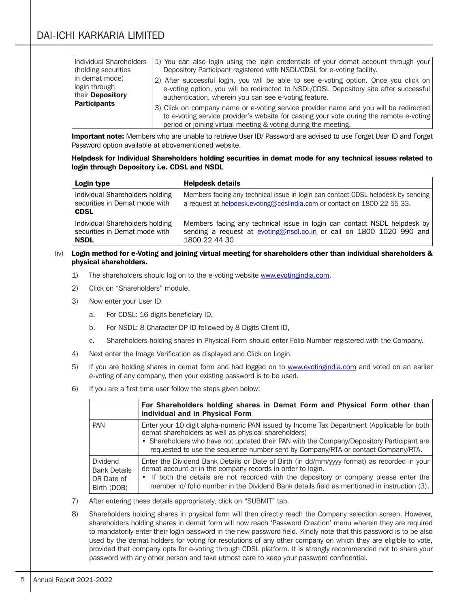| Individual Shareholders                             | 1) You can also login using the login credentials of your demat account through your                                                                                                                                                    |
|-----------------------------------------------------|-----------------------------------------------------------------------------------------------------------------------------------------------------------------------------------------------------------------------------------------|
| (holding securities                                 | Depository Participant registered with NSDL/CDSL for e-voting facility.                                                                                                                                                                 |
| in demat mode)<br>login through<br>their Depository | 2) After successful login, you will be able to see e-voting option. Once you click on<br>e-voting option, you will be redirected to NSDL/CDSL Depository site after successful<br>authentication, wherein you can see e-voting feature. |
| <b>Participants</b>                                 | 3) Click on company name or e-voting service provider name and you will be redirected<br>to e-voting service provider's website for casting your vote during the remote e-voting                                                        |
|                                                     | period or joining virtual meeting & voting during the meeting.                                                                                                                                                                          |

Important note: Members who are unable to retrieve User ID/ Password are advised to use Forget User ID and Forget Password option available at abovementioned website.

#### Helpdesk for Individual Shareholders holding securities in demat mode for any technical issues related to login through Depository i.e. CDSL and NSDL

| Login type                                                                      | <b>Helpdesk details</b>                                                                                                                                           |
|---------------------------------------------------------------------------------|-------------------------------------------------------------------------------------------------------------------------------------------------------------------|
| Individual Shareholders holding<br>securities in Demat mode with<br><b>CDSL</b> | Members facing any technical issue in login can contact CDSL helpdesk by sending<br>a request at helpdesk.evoting@cdslindia.com or contact on 1800 22 55 33.      |
| Individual Shareholders holding<br>securities in Demat mode with<br><b>NSDL</b> | Members facing any technical issue in login can contact NSDL helpdesk by<br>sending a request at evoting@nsdl.co.in or call on 1800 1020 990 and<br>1800 22 44 30 |

#### $(iv)$  Login method for e-Voting and joining virtual meeting for shareholders other than individual shareholders & physical shareholders.

- 1) The shareholders should log on to the e-voting website www.evotingindia.com.
- 2) Click on "Shareholders" module.
- 3) Now enter your User ID
	- a. For CDSL: 16 digits beneficiary ID,
	- b. For NSDL: 8 Character DP ID followed by 8 Digits Client ID,
	- c. Shareholders holding shares in Physical Form should enter Folio Number registered with the Company.
- 4) Next enter the Image Verification as displayed and Click on Login.
- 5) If you are holding shares in demat form and had logged on to www.evotingindia.com and voted on an earlier e-voting of any company, then your existing password is to be used.
- 6) If you are a first time user follow the steps given below:

|                                                                     | For Shareholders holding shares in Demat Form and Physical Form other than<br>individual and in Physical Form                                                                                                                                                                                                                                     |
|---------------------------------------------------------------------|---------------------------------------------------------------------------------------------------------------------------------------------------------------------------------------------------------------------------------------------------------------------------------------------------------------------------------------------------|
| <b>PAN</b>                                                          | Enter your 10 digit alpha-numeric PAN issued by Income Tax Department (Applicable for both<br>demat shareholders as well as physical shareholders)<br>• Shareholders who have not updated their PAN with the Company/Depository Participant are<br>requested to use the sequence number sent by Company/RTA or contact Company/RTA.               |
| <b>Dividend</b><br><b>Bank Details</b><br>OR Date of<br>Birth (DOB) | Enter the Dividend Bank Details or Date of Birth (in dd/mm/yyy format) as recorded in your<br>demat account or in the company records in order to login.<br>• If both the details are not recorded with the depository or company please enter the<br>member id/ folio number in the Dividend Bank details field as mentioned in instruction (3). |

- 7) After entering these details appropriately, click on "SUBMIT" tab.
- 8) Shareholders holding shares in physical form will then directly reach the Company selection screen. However, shareholders holding shares in demat form will now reach 'Password Creation' menu wherein they are required to mandatorily enter their login password in the new password field. Kindly note that this password is to be also used by the demat holders for voting for resolutions of any other company on which they are eligible to vote, provided that company opts for e-voting through CDSL platform. It is strongly recommended not to share your password with any other person and take utmost care to keep your password confidential.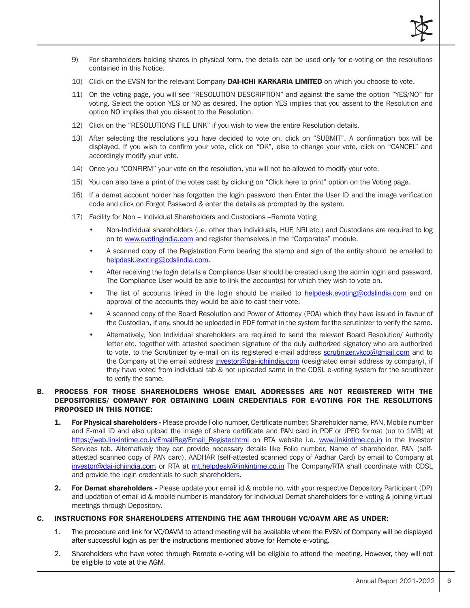

- 9) For shareholders holding shares in physical form, the details can be used only for e-voting on the resolutions contained in this Notice.
- 10) Click on the EVSN for the relevant Company DAI-ICHI KARKARIA LIMITED on which you choose to vote.
- 11) On the voting page, you will see "RESOLUTION DESCRIPTION" and against the same the option "YES/NO" for voting. Select the option YES or NO as desired. The option YES implies that you assent to the Resolution and option NO implies that you dissent to the Resolution.
- 12) Click on the "RESOLUTIONS FILE LINK" if you wish to view the entire Resolution details.
- 13) After selecting the resolutions you have decided to vote on, click on "SUBMIT". A confirmation box will be displayed. If you wish to confirm your vote, click on "OK", else to change your vote, click on "CANCEL" and accordingly modify your vote.
- 14) Once you "CONFIRM" your vote on the resolution, you will not be allowed to modify your vote.
- 15) You can also take a print of the votes cast by clicking on "Click here to print" option on the Voting page.
- 16) If a demat account holder has forgotten the login password then Enter the User ID and the image verification code and click on Forgot Password & enter the details as prompted by the system.
- 17) Facility for Non Individual Shareholders and Custodians –Remote Voting
	- Non-Individual shareholders (i.e. other than Individuals, HUF, NRI etc.) and Custodians are required to log on to www.evotingindia.com and register themselves in the "Corporates" module.
	- A scanned copy of the Registration Form bearing the stamp and sign of the entity should be emailed to helpdesk.evoting@cdslindia.com.
	- After receiving the login details a Compliance User should be created using the admin login and password. The Compliance User would be able to link the account(s) for which they wish to vote on.
	- The list of accounts linked in the login should be mailed to helpdesk.evoting@cdslindia.com and on approval of the accounts they would be able to cast their vote.
	- A scanned copy of the Board Resolution and Power of Attorney (POA) which they have issued in favour of the Custodian, if any, should be uploaded in PDF format in the system for the scrutinizer to verify the same.
	- Alternatively, Non Individual shareholders are required to send the relevant Board Resolution/ Authority letter etc. together with attested specimen signature of the duly authorized signatory who are authorized to vote, to the Scrutinizer by e-mail on its registered e-mail address scrutinizer.vkco@gmail.com and to the Company at the email address investor@dai-ichiindia.com (designated email address by company), if they have voted from individual tab & not uploaded same in the CDSL e-voting system for the scrutinizer to verify the same.

#### B. PROCESS FOR THOSE SHAREHOLDERS WHOSE EMAIL ADDRESSES ARE NOT REGISTERED WITH THE DEPOSITORIES/ COMPANY FOR OBTAINING LOGIN CREDENTIALS FOR E-VOTING FOR THE RESOLUTIONS PROPOSED IN THIS NOTICE:

- 1. For Physical shareholders Please provide Folio number, Certificate number, Shareholder name, PAN, Mobile number and E-mail ID and also upload the image of share certificate and PAN card in PDF or JPEG format (up to 1MB) at https://web.linkintime.co.in/EmailReg/Email\_Register.html on RTA website i.e. www.linkintime.co.in in the Investor Services tab. Alternatively they can provide necessary details like Folio number, Name of shareholder, PAN (selfattested scanned copy of PAN card), AADHAR (self-attested scanned copy of Aadhar Card) by email to Company at investor@dai-ichiindia.com or RTA at rnt.helpdesk@linkintime.co.in The Company/RTA shall coordinate with CDSL and provide the login credentials to such shareholders.
- 2. For Demat shareholders Please update your email id & mobile no. with your respective Depository Participant (DP) and updation of email id & mobile number is mandatory for Individual Demat shareholders for e-voting & joining virtual meetings through Depository.

#### C. INSTRUCTIONS FOR SHAREHOLDERS ATTENDING THE AGM THROUGH VC/OAVM ARE AS UNDER:

- 1. The procedure and link for VC/OAVM to attend meeting will be available where the EVSN of Company will be displayed after successful login as per the instructions mentioned above for Remote e-voting.
- 2. Shareholders who have voted through Remote e-voting will be eligible to attend the meeting. However, they will not be eligible to vote at the AGM.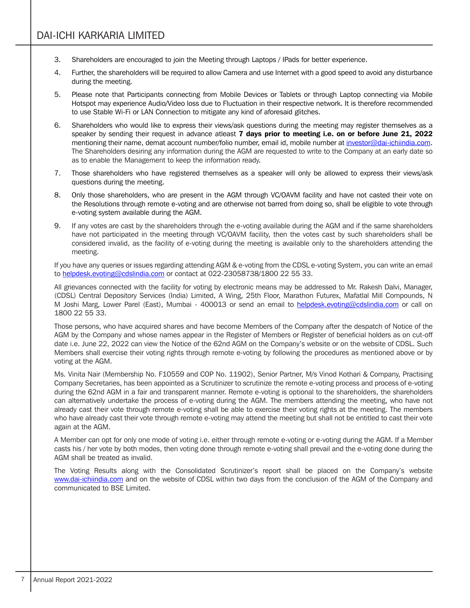- 3. Shareholders are encouraged to join the Meeting through Laptops / IPads for better experience.
- 4. Further, the shareholders will be required to allow Camera and use Internet with a good speed to avoid any disturbance during the meeting.
- 5. Please note that Participants connecting from Mobile Devices or Tablets or through Laptop connecting via Mobile Hotspot may experience Audio/Video loss due to Fluctuation in their respective network. It is therefore recommended to use Stable Wi-Fi or LAN Connection to mitigate any kind of aforesaid glitches.
- 6. Shareholders who would like to express their views/ask questions during the meeting may register themselves as a speaker by sending their request in advance atleast 7 days prior to meeting i.e. on or before June 21, 2022 mentioning their name, demat account number/folio number, email id, mobile number at investor@dai-ichiindia.com. The Shareholders desiring any information during the AGM are requested to write to the Company at an early date so as to enable the Management to keep the information ready.
- 7. Those shareholders who have registered themselves as a speaker will only be allowed to express their views/ask questions during the meeting.
- 8. Only those shareholders, who are present in the AGM through VC/OAVM facility and have not casted their vote on the Resolutions through remote e-voting and are otherwise not barred from doing so, shall be eligible to vote through e-voting system available during the AGM.
- 9. If any votes are cast by the shareholders through the e-voting available during the AGM and if the same shareholders have not participated in the meeting through VC/OAVM facility, then the votes cast by such shareholders shall be considered invalid, as the facility of e-voting during the meeting is available only to the shareholders attending the meeting.

If you have any queries or issues regarding attending AGM & e-voting from the CDSL e-voting System, you can write an email to helpdesk.evoting@cdslindia.com or contact at 022-23058738/1800 22 55 33.

All grievances connected with the facility for voting by electronic means may be addressed to Mr. Rakesh Dalvi, Manager, (CDSL) Central Depository Services (India) Limited, A Wing, 25th Floor, Marathon Futurex, Mafatlal Mill Compounds, N M Joshi Marg, Lower Parel (East), Mumbai - 400013 or send an email to helpdesk.evoting@cdslindia.com or call on 1800 22 55 33.

Those persons, who have acquired shares and have become Members of the Company after the despatch of Notice of the AGM by the Company and whose names appear in the Register of Members or Register of beneficial holders as on cut-off date i.e. June 22, 2022 can view the Notice of the 62nd AGM on the Company's website or on the website of CDSL. Such Members shall exercise their voting rights through remote e-voting by following the procedures as mentioned above or by voting at the AGM.

Ms. Vinita Nair (Membership No. F10559 and COP No. 11902), Senior Partner, M/s Vinod Kothari & Company, Practising Company Secretaries, has been appointed as a Scrutinizer to scrutinize the remote e-voting process and process of e-voting during the 62nd AGM in a fair and transparent manner. Remote e-voting is optional to the shareholders, the shareholders can alternatively undertake the process of e-voting during the AGM. The members attending the meeting, who have not already cast their vote through remote e-voting shall be able to exercise their voting rights at the meeting. The members who have already cast their vote through remote e-voting may attend the meeting but shall not be entitled to cast their vote again at the AGM.

A Member can opt for only one mode of voting i.e. either through remote e-voting or e-voting during the AGM. If a Member casts his / her vote by both modes, then voting done through remote e-voting shall prevail and the e-voting done during the AGM shall be treated as invalid.

The Voting Results along with the Consolidated Scrutinizer's report shall be placed on the Company's website www.dai-ichiindia.com and on the website of CDSL within two days from the conclusion of the AGM of the Company and communicated to BSE Limited.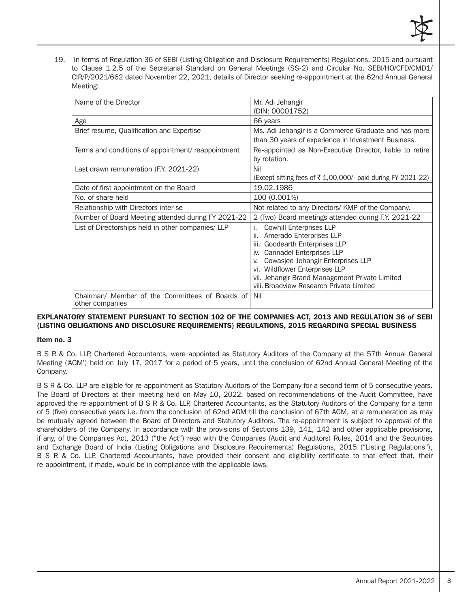19. In terms of Regulation 36 of SEBI (Listing Obligation and Disclosure Requirements) Regulations, 2015 and pursuant to Clause 1.2.5 of the Secretarial Standard on General Meetings (SS-2) and Circular No. SEBI/HO/CFD/CMD1/ CIR/P/2021/662 dated November 22, 2021, details of Director seeking re-appointment at the 62nd Annual General Meeting:

| Name of the Director                                               | Mr. Adi Jehangir<br>(DIN: 00001752)                                                                                                                                                                                                                                                                                                 |
|--------------------------------------------------------------------|-------------------------------------------------------------------------------------------------------------------------------------------------------------------------------------------------------------------------------------------------------------------------------------------------------------------------------------|
| Age                                                                | 66 years                                                                                                                                                                                                                                                                                                                            |
| Brief resume, Qualification and Expertise                          | Ms. Adi Jehangir is a Commerce Graduate and has more<br>than 30 years of experience in Investment Business.                                                                                                                                                                                                                         |
| Terms and conditions of appointment/ reappointment                 | Re-appointed as Non-Executive Director, liable to retire<br>by rotation.                                                                                                                                                                                                                                                            |
| Last drawn remuneration (F.Y. 2021-22)                             | Nil<br>(Except sitting fees of ₹ 1,00,000/- paid during FY 2021-22)                                                                                                                                                                                                                                                                 |
| Date of first appointment on the Board                             | 19.02.1986                                                                                                                                                                                                                                                                                                                          |
| No. of share held                                                  | 100 (0.001%)                                                                                                                                                                                                                                                                                                                        |
| Relationship with Directors inter-se                               | Not related to any Directors/ KMP of the Company.                                                                                                                                                                                                                                                                                   |
| Number of Board Meeting attended during FY 2021-22                 | 2 (Two) Board meetings attended during F.Y. 2021-22                                                                                                                                                                                                                                                                                 |
| List of Directorships held in other companies/LLP                  | <b>Cowhill Enterprises LLP</b><br>i.<br>Amerado Enterprises LLP<br>ii.<br>Goodearth Enterprises LLP<br>iii.<br><b>Cannadel Enterprises LLP</b><br>İV.<br>Cowasjee Jehangir Enterprises LLP<br>V.<br>Wildflower Enterprises LLP<br>vi.<br>vii. Jehangir Brand Management Private Limited<br>viii. Broadview Research Private Limited |
| Chairman/ Member of the Committees of Boards of<br>other companies | Nil                                                                                                                                                                                                                                                                                                                                 |

#### EXPLANATORY STATEMENT PURSUANT TO SECTION 102 OF THE COMPANIES ACT, 2013 AND REGULATION 36 of SEBI (LISTING OBLIGATIONS AND DISCLOSURE REQUIREMENTS) REGULATIONS, 2015 REGARDING SPECIAL BUSINESS

#### Item no. 3

B S R & Co. LLP, Chartered Accountants, were appointed as Statutory Auditors of the Company at the 57th Annual General Meeting ('AGM') held on July 17, 2017 for a period of 5 years, until the conclusion of 62nd Annual General Meeting of the Company.

B S R & Co. LLP are eligible for re-appointment as Statutory Auditors of the Company for a second term of 5 consecutive years. The Board of Directors at their meeting held on May 10, 2022, based on recommendations of the Audit Committee, have approved the re-appointment of B S R & Co. LLP, Chartered Accountants, as the Statutory Auditors of the Company for a term of 5 (five) consecutive years i.e. from the conclusion of 62nd AGM till the conclusion of 67th AGM, at a remuneration as may be mutually agreed between the Board of Directors and Statutory Auditors. The re-appointment is subject to approval of the shareholders of the Company. In accordance with the provisions of Sections 139, 141, 142 and other applicable provisions, if any, of the Companies Act, 2013 ("the Act") read with the Companies (Audit and Auditors) Rules, 2014 and the Securities and Exchange Board of India (Listing Obligations and Disclosure Requirements) Regulations, 2015 ("Listing Regulations"), B S R & Co. LLP, Chartered Accountants, have provided their consent and eligibility certificate to that effect that, their re-appointment, if made, would be in compliance with the applicable laws.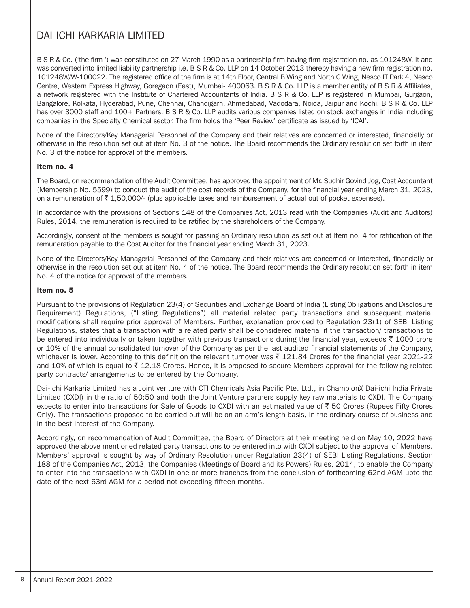# DAI-ICHI KARKARIA LIMITED

B S R & Co. ('the firm ') was constituted on 27 March 1990 as a partnership firm having firm registration no. as 101248W. It and was converted into limited liability partnership i.e. B S R & Co. LLP on 14 October 2013 thereby having a new firm registration no. 101248W/W-100022. The registered office of the firm is at 14th Floor, Central B Wing and North C Wing, Nesco IT Park 4, Nesco Centre, Western Express Highway, Goregaon (East), Mumbai- 400063. B S R & Co. LLP is a member entity of B S R & Affiliates, a network registered with the Institute of Chartered Accountants of India. B S R & Co. LLP is registered in Mumbai, Gurgaon, Bangalore, Kolkata, Hyderabad, Pune, Chennai, Chandigarh, Ahmedabad, Vadodara, Noida, Jaipur and Kochi. B S R & Co. LLP has over 3000 staff and 100+ Partners. B S R & Co. LLP audits various companies listed on stock exchanges in India including companies in the Specialty Chemical sector. The firm holds the 'Peer Review' certificate as issued by 'ICAI'.

None of the Directors/Key Managerial Personnel of the Company and their relatives are concerned or interested, financially or otherwise in the resolution set out at item No. 3 of the notice. The Board recommends the Ordinary resolution set forth in item No. 3 of the notice for approval of the members.

#### Item no. 4

The Board, on recommendation of the Audit Committee, has approved the appointment of Mr. Sudhir Govind Jog, Cost Accountant (Membership No. 5599) to conduct the audit of the cost records of the Company, for the financial year ending March 31, 2023, on a remuneration of  $\bar{\tau}$  1,50,000/- (plus applicable taxes and reimbursement of actual out of pocket expenses).

In accordance with the provisions of Sections 148 of the Companies Act, 2013 read with the Companies (Audit and Auditors) Rules, 2014, the remuneration is required to be ratified by the shareholders of the Company.

Accordingly, consent of the members is sought for passing an Ordinary resolution as set out at Item no. 4 for ratification of the remuneration payable to the Cost Auditor for the financial year ending March 31, 2023.

None of the Directors/Key Managerial Personnel of the Company and their relatives are concerned or interested, financially or otherwise in the resolution set out at item No. 4 of the notice. The Board recommends the Ordinary resolution set forth in item No. 4 of the notice for approval of the members.

### Item no. 5

Pursuant to the provisions of Regulation 23(4) of Securities and Exchange Board of India (Listing Obligations and Disclosure Requirement) Regulations, ("Listing Regulations") all material related party transactions and subsequent material modifications shall require prior approval of Members. Further, explanation provided to Regulation 23(1) of SEBI Listing Regulations, states that a transaction with a related party shall be considered material if the transaction/ transactions to be entered into individually or taken together with previous transactions during the financial year, exceeds  $\bar{\tau}$  1000 crore or 10% of the annual consolidated turnover of the Company as per the last audited financial statements of the Company, whichever is lower. According to this definition the relevant turnover was  $\bar{\tau}$  121.84 Crores for the financial year 2021-22 and 10% of which is equal to  $\bar{\tau}$  12.18 Crores. Hence, it is proposed to secure Members approval for the following related party contracts/ arrangements to be entered by the Company.

Dai-ichi Karkaria Limited has a Joint venture with CTI Chemicals Asia Pacific Pte. Ltd., in ChampionX Dai-ichi India Private Limited (CXDI) in the ratio of 50:50 and both the Joint Venture partners supply key raw materials to CXDI. The Company expects to enter into transactions for Sale of Goods to CXDI with an estimated value of  $\bar{\tau}$  50 Crores (Rupees Fifty Crores Only). The transactions proposed to be carried out will be on an arm's length basis, in the ordinary course of business and in the best interest of the Company.

Accordingly, on recommendation of Audit Committee, the Board of Directors at their meeting held on May 10, 2022 have approved the above mentioned related party transactions to be entered into with CXDI subject to the approval of Members. Members' approval is sought by way of Ordinary Resolution under Regulation 23(4) of SEBI Listing Regulations, Section 188 of the Companies Act, 2013, the Companies (Meetings of Board and its Powers) Rules, 2014, to enable the Company to enter into the transactions with CXDI in one or more tranches from the conclusion of forthcoming 62nd AGM upto the date of the next 63rd AGM for a period not exceeding fifteen months.